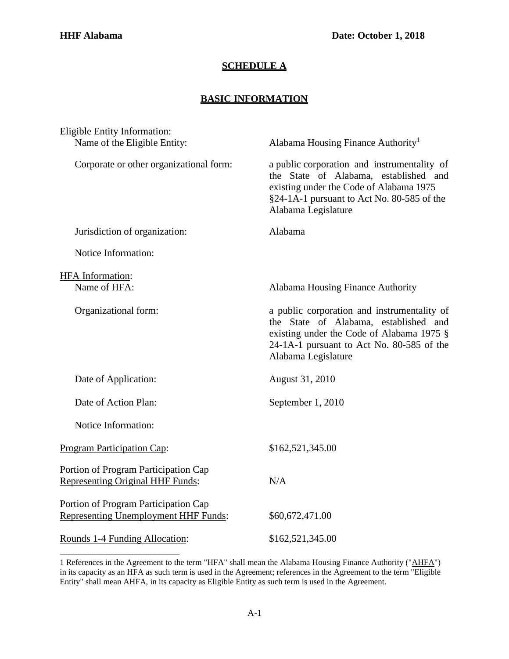## **SCHEDULE A**

## **BASIC INFORMATION**

| <b>Eligible Entity Information:</b>                                          |                                                                                                                                                                                                       |
|------------------------------------------------------------------------------|-------------------------------------------------------------------------------------------------------------------------------------------------------------------------------------------------------|
| Name of the Eligible Entity:                                                 | Alabama Housing Finance Authority <sup>1</sup>                                                                                                                                                        |
| Corporate or other organizational form:                                      | a public corporation and instrumentality of<br>the State of Alabama, established and<br>existing under the Code of Alabama 1975<br>§24-1A-1 pursuant to Act No. 80-585 of the<br>Alabama Legislature  |
| Jurisdiction of organization:                                                | Alabama                                                                                                                                                                                               |
| Notice Information:                                                          |                                                                                                                                                                                                       |
|                                                                              |                                                                                                                                                                                                       |
| <b>HFA</b> Information:<br>Name of HFA:                                      | Alabama Housing Finance Authority                                                                                                                                                                     |
| Organizational form:                                                         | a public corporation and instrumentality of<br>the State of Alabama, established and<br>existing under the Code of Alabama 1975 §<br>24-1A-1 pursuant to Act No. 80-585 of the<br>Alabama Legislature |
| Date of Application:                                                         | August 31, 2010                                                                                                                                                                                       |
| Date of Action Plan:                                                         | September 1, 2010                                                                                                                                                                                     |
| Notice Information:                                                          |                                                                                                                                                                                                       |
| <b>Program Participation Cap:</b>                                            | \$162,521,345.00                                                                                                                                                                                      |
| Portion of Program Participation Cap<br>Representing Original HHF Funds:     | N/A                                                                                                                                                                                                   |
| Portion of Program Participation Cap<br>Representing Unemployment HHF Funds: | \$60,672,471.00                                                                                                                                                                                       |
| Rounds 1-4 Funding Allocation:                                               | \$162,521,345.00                                                                                                                                                                                      |

<span id="page-0-0"></span><sup>1</sup> References in the Agreement to the term "HFA" shall mean the Alabama Housing Finance Authority ("AHFA") in its capacity as an HFA as such term is used in the Agreement; references in the Agreement to the term "Eligible Entity" shall mean AHFA, in its capacity as Eligible Entity as such term is used in the Agreement.